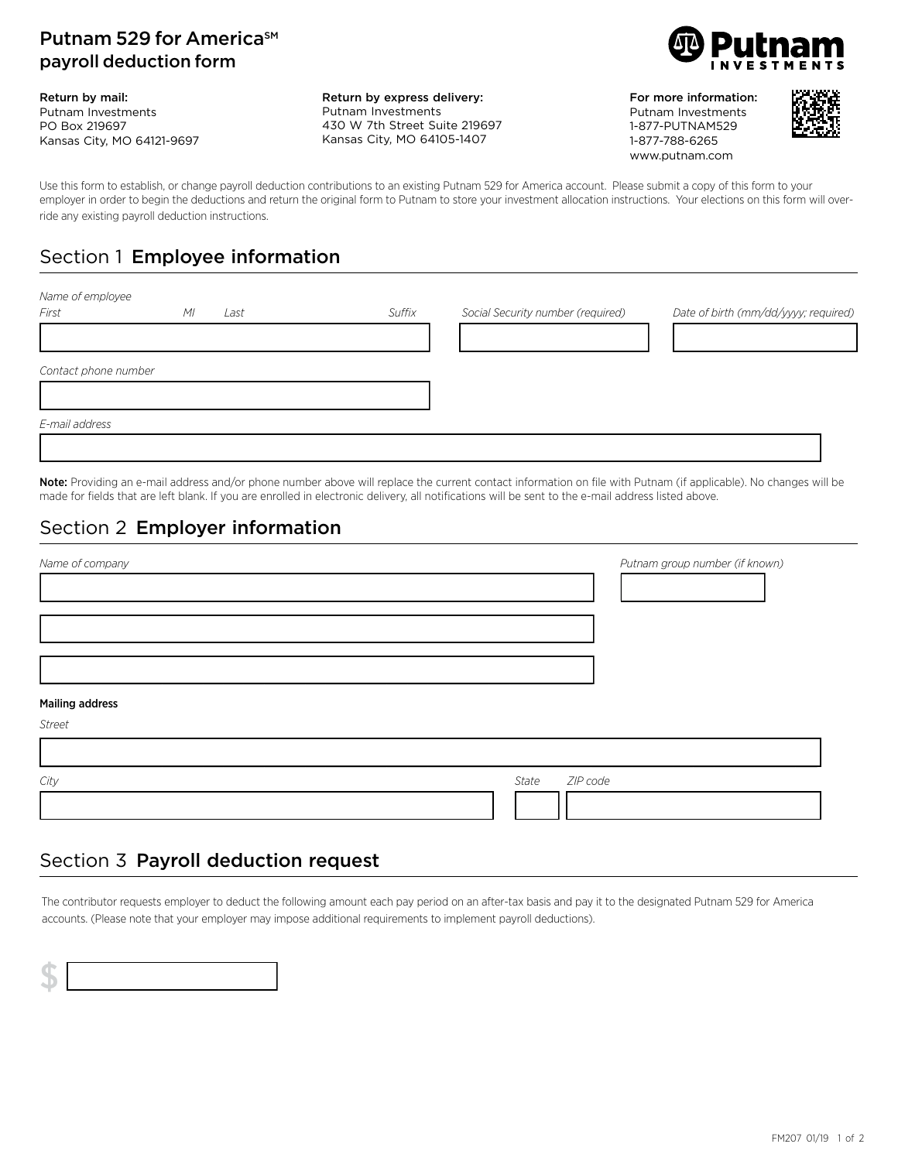#### Putnam 529 for America<sup>SM</sup> payroll deduction form

Return by mail: Putnam Investments PO Box 219697 Kansas City, MO 64121-9697 Return by express delivery: Putnam Investments 430 W 7th Street Suite 219697 Kansas City, MO 64105-1407



For more information: Putnam Investments 1-877-PUTNAM529 1-877-788-6265 www.putnam.com



Use this form to establish, or change payroll deduction contributions to an existing Putnam 529 for America account. Please submit a copy of this form to your employer in order to begin the deductions and return the original form to Putnam to store your investment allocation instructions. Your elections on this form will override any existing payroll deduction instructions.

# Section 1 Employee information

| Name of employee     |                        |        |                                   |                                      |
|----------------------|------------------------|--------|-----------------------------------|--------------------------------------|
| First                | M <sub>l</sub><br>Last | Suffix | Social Security number (required) | Date of birth (mm/dd/yyyy; required) |
|                      |                        |        |                                   |                                      |
|                      |                        |        |                                   |                                      |
| Contact phone number |                        |        |                                   |                                      |
|                      |                        |        |                                   |                                      |
| E-mail address       |                        |        |                                   |                                      |
|                      |                        |        |                                   |                                      |
|                      |                        |        |                                   |                                      |

Note: Providing an e-mail address and/or phone number above will replace the current contact information on file with Putnam (if applicable). No changes will be made for fields that are left blank. If you are enrolled in electronic delivery, all notifications will be sent to the e-mail address listed above.

## Section 2 Employer information

| Name of company           | Putnam group number (if known) |
|---------------------------|--------------------------------|
|                           |                                |
|                           |                                |
|                           |                                |
|                           |                                |
|                           |                                |
| <b>Mailing address</b>    |                                |
| Street                    |                                |
|                           |                                |
| ZIP code<br>State<br>City |                                |
|                           |                                |

## Section 3 Payroll deduction request

The contributor requests employer to deduct the following amount each pay period on an after-tax basis and pay it to the designated Putnam 529 for America accounts. (Please note that your employer may impose additional requirements to implement payroll deductions).